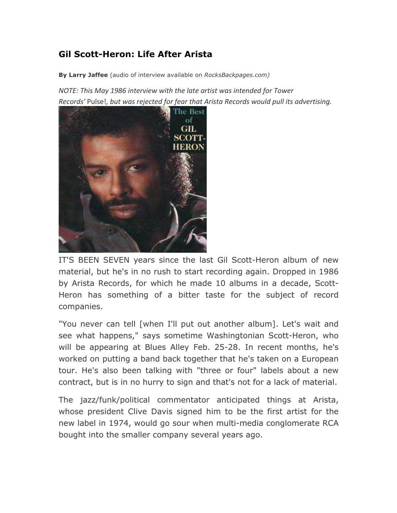## **Gil Scott-Heron: Life After Arista**

**By Larry Jaffee** (audio of interview available on *RocksBackpages.com)*

*NOTE: This May 1986 interview with the late artist was intended for Tower Records'* Pulse!, but was rejected for fear that Arista Records would pull its advertising.



IT'S BEEN SEVEN years since the last Gil Scott-Heron album of new material, but he's in no rush to start recording again. Dropped in 1986 by Arista Records, for which he made 10 albums in a decade, Scott-Heron has something of a bitter taste for the subject of record companies.

"You never can tell [when I'll put out another album]. Let's wait and see what happens," says sometime Washingtonian Scott-Heron, who will be appearing at Blues Alley Feb. 25-28. In recent months, he's worked on putting a band back together that he's taken on a European tour. He's also been talking with "three or four" labels about a new contract, but is in no hurry to sign and that's not for a lack of material.

The jazz/funk/political commentator anticipated things at Arista, whose president Clive Davis signed him to be the first artist for the new label in 1974, would go sour when multi-media conglomerate RCA bought into the smaller company several years ago.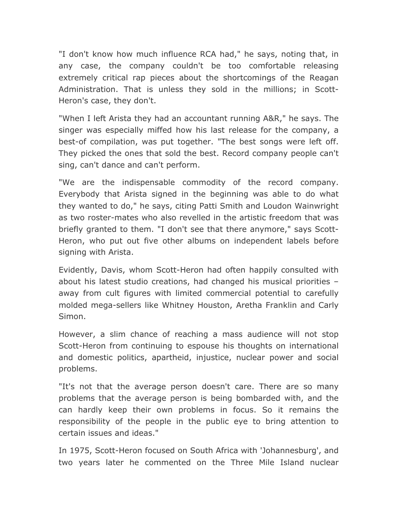"I don't know how much influence RCA had," he says, noting that, in any case, the company couldn't be too comfortable releasing extremely critical rap pieces about the shortcomings of the Reagan Administration. That is unless they sold in the millions; in Scott-Heron's case, they don't.

"When I left Arista they had an accountant running A&R," he says. The singer was especially miffed how his last release for the company, a best-of compilation, was put together. "The best songs were left off. They picked the ones that sold the best. Record company people can't sing, can't dance and can't perform.

"We are the indispensable commodity of the record company. Everybody that Arista signed in the beginning was able to do what they wanted to do," he says, citing Patti Smith and Loudon Wainwright as two roster-mates who also revelled in the artistic freedom that was briefly granted to them. "I don't see that there anymore," says Scott-Heron, who put out five other albums on independent labels before signing with Arista.

Evidently, Davis, whom Scott-Heron had often happily consulted with about his latest studio creations, had changed his musical priorities – away from cult figures with limited commercial potential to carefully molded mega-sellers like Whitney Houston, Aretha Franklin and Carly Simon.

However, a slim chance of reaching a mass audience will not stop Scott-Heron from continuing to espouse his thoughts on international and domestic politics, apartheid, injustice, nuclear power and social problems.

"It's not that the average person doesn't care. There are so many problems that the average person is being bombarded with, and the can hardly keep their own problems in focus. So it remains the responsibility of the people in the public eye to bring attention to certain issues and ideas."

In 1975, Scott-Heron focused on South Africa with 'Johannesburg', and two years later he commented on the Three Mile Island nuclear